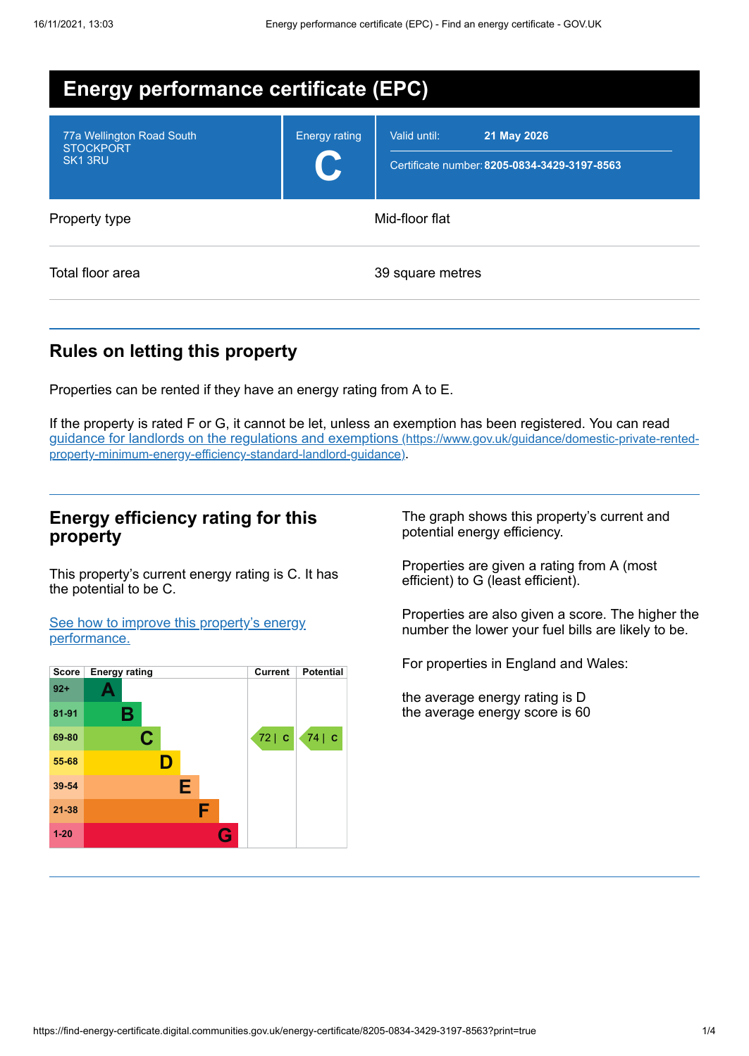| <b>Energy performance certificate (EPC)</b>                          |                      |                                                                             |
|----------------------------------------------------------------------|----------------------|-----------------------------------------------------------------------------|
| 77a Wellington Road South<br><b>STOCKPORT</b><br>SK <sub>1</sub> 3RU | <b>Energy rating</b> | Valid until:<br>21 May 2026<br>Certificate number: 8205-0834-3429-3197-8563 |
| Property type                                                        |                      | Mid-floor flat                                                              |
| Total floor area                                                     |                      | 39 square metres                                                            |

## **Rules on letting this property**

Properties can be rented if they have an energy rating from A to E.

If the property is rated F or G, it cannot be let, unless an exemption has been registered. You can read guidance for landlords on the regulations and exemptions (https://www.gov.uk/guidance/domestic-private-rented[property-minimum-energy-efficiency-standard-landlord-guidance\)](https://www.gov.uk/guidance/domestic-private-rented-property-minimum-energy-efficiency-standard-landlord-guidance).

## **Energy efficiency rating for this property**

This property's current energy rating is C. It has the potential to be C.

See how to improve this property's energy [performance.](#page-2-0)



The graph shows this property's current and potential energy efficiency.

Properties are given a rating from A (most efficient) to G (least efficient).

Properties are also given a score. The higher the number the lower your fuel bills are likely to be.

For properties in England and Wales:

the average energy rating is D the average energy score is 60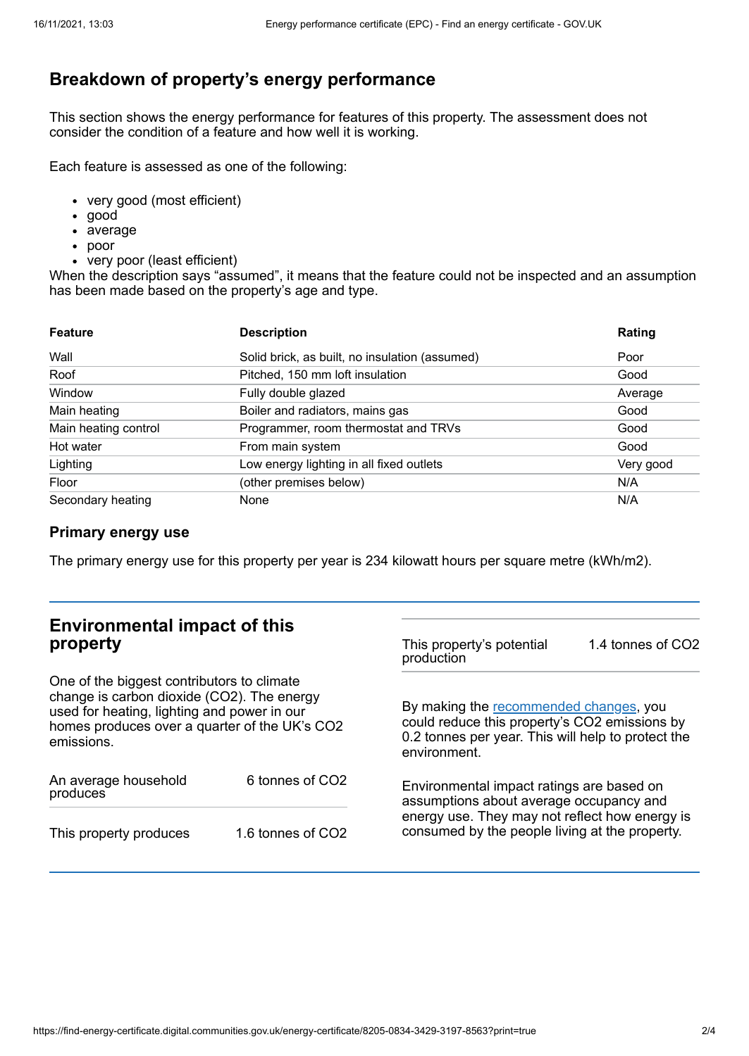# **Breakdown of property's energy performance**

This section shows the energy performance for features of this property. The assessment does not consider the condition of a feature and how well it is working.

Each feature is assessed as one of the following:

- very good (most efficient)
- good
- average
- poor
- very poor (least efficient)

When the description says "assumed", it means that the feature could not be inspected and an assumption has been made based on the property's age and type.

| <b>Feature</b>       | <b>Description</b>                             | Rating    |
|----------------------|------------------------------------------------|-----------|
| Wall                 | Solid brick, as built, no insulation (assumed) | Poor      |
| Roof                 | Pitched, 150 mm loft insulation                | Good      |
| Window               | Fully double glazed                            | Average   |
| Main heating         | Boiler and radiators, mains gas                | Good      |
| Main heating control | Programmer, room thermostat and TRVs           | Good      |
| Hot water            | From main system                               | Good      |
| Lighting             | Low energy lighting in all fixed outlets       | Very good |
| Floor                | (other premises below)                         | N/A       |
| Secondary heating    | None                                           | N/A       |

### **Primary energy use**

The primary energy use for this property per year is 234 kilowatt hours per square metre (kWh/m2).

| <b>Environmental impact of this</b><br>property                                                                                                                                                        |                   | This property's potential<br>production                                                                                                                                                  | 1.4 tonnes of CO2 |
|--------------------------------------------------------------------------------------------------------------------------------------------------------------------------------------------------------|-------------------|------------------------------------------------------------------------------------------------------------------------------------------------------------------------------------------|-------------------|
| One of the biggest contributors to climate<br>change is carbon dioxide (CO2). The energy<br>used for heating, lighting and power in our<br>homes produces over a quarter of the UK's CO2<br>emissions. |                   | By making the recommended changes, you<br>could reduce this property's CO2 emissions by<br>0.2 tonnes per year. This will help to protect the<br>environment.                            |                   |
| An average household<br>produces                                                                                                                                                                       | 6 tonnes of CO2   | Environmental impact ratings are based on<br>assumptions about average occupancy and<br>energy use. They may not reflect how energy is<br>consumed by the people living at the property. |                   |
| This property produces                                                                                                                                                                                 | 1.6 tonnes of CO2 |                                                                                                                                                                                          |                   |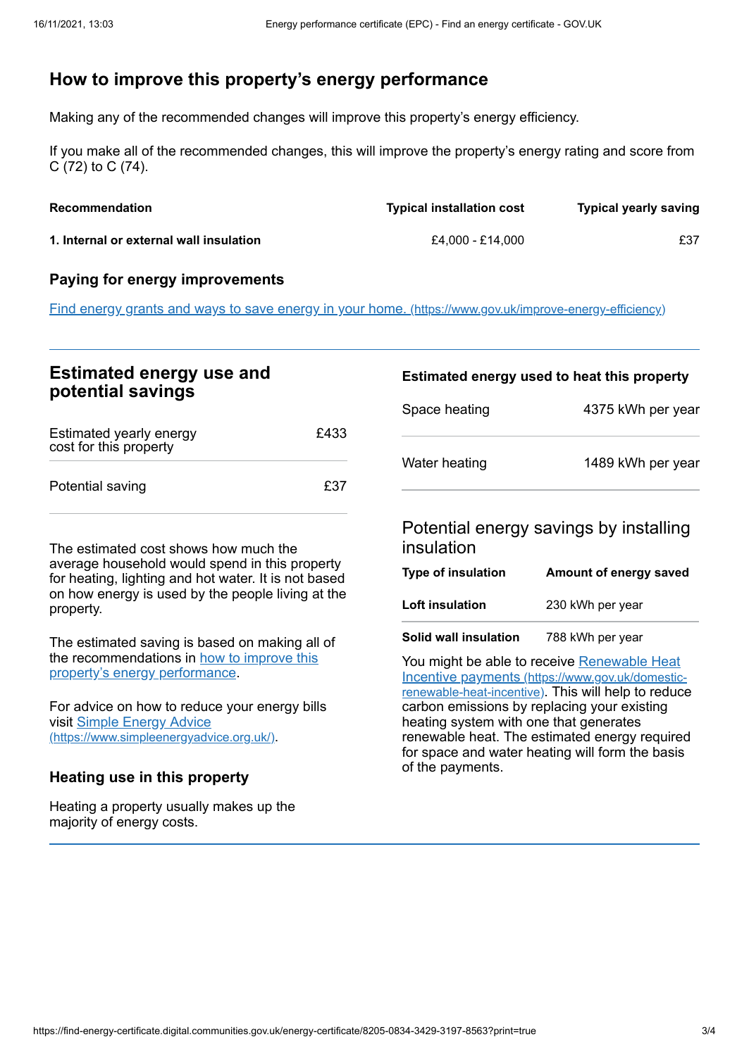# <span id="page-2-0"></span>**How to improve this property's energy performance**

Making any of the recommended changes will improve this property's energy efficiency.

If you make all of the recommended changes, this will improve the property's energy rating and score from C (72) to C (74).

| <b>Recommendation</b>                   | <b>Typical installation cost</b> | <b>Typical yearly saving</b> |
|-----------------------------------------|----------------------------------|------------------------------|
| 1. Internal or external wall insulation | £4.000 - £14.000                 | £37                          |

#### **Paying for energy improvements**

Find energy grants and ways to save energy in your home. [\(https://www.gov.uk/improve-energy-efficiency\)](https://www.gov.uk/improve-energy-efficiency)

## **Estimated energy use and potential savings**

| Estimated yearly energy<br>cost for this property | £433 |
|---------------------------------------------------|------|
| Potential saving                                  | £37  |

The estimated cost shows how much the average household would spend in this property for heating, lighting and hot water. It is not based on how energy is used by the people living at the property.

The estimated saving is based on making all of the [recommendations](#page-2-0) in how to improve this property's energy performance.

For advice on how to reduce your energy bills visit Simple Energy Advice [\(https://www.simpleenergyadvice.org.uk/\)](https://www.simpleenergyadvice.org.uk/).

### **Heating use in this property**

Heating a property usually makes up the majority of energy costs.

# **Estimated energy used to heat this property**

| Space heating | 4375 kWh per year |  |
|---------------|-------------------|--|
| Water heating | 1489 kWh per year |  |

Potential energy savings by installing insulation

| <b>Type of insulation</b> | Amount of energy saved |
|---------------------------|------------------------|
| Loft insulation           | 230 kWh per year       |
| Solid wall insulation     | 788 kWh per year       |

You might be able to receive Renewable Heat Incentive payments [\(https://www.gov.uk/domestic](https://www.gov.uk/domestic-renewable-heat-incentive)renewable-heat-incentive). This will help to reduce carbon emissions by replacing your existing heating system with one that generates renewable heat. The estimated energy required for space and water heating will form the basis of the payments.